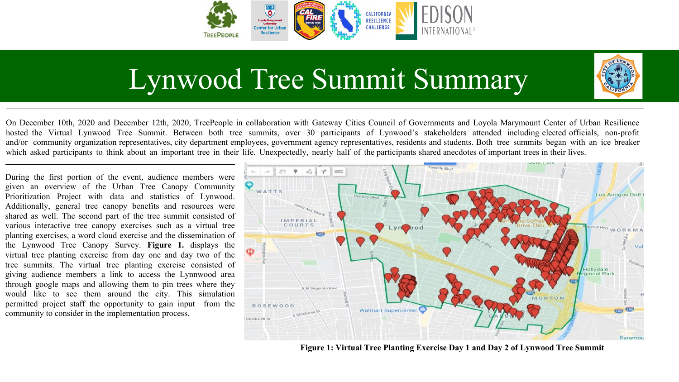

## Lynwood Tree Summit Summary



On December 10th, 2020 and December 12th, 2020, TreePeople in collaboration with Gateway Cities Council of Governments and Loyola Marymount Center of Urban Resilience hosted the Virtual Lynwood Tree Summit. Between both tree summits, over 30 participants of Lynwood's stakeholders attended including elected officials, non-profit and/or community organization representatives, city department employees, government agency representatives, residents and students. Both tree summits began with an ice breaker which asked participants to think about an important tree in their life. Unexpectedly, nearly half of the participants shared anecdotes of important trees in their lives.

During the first portion of the event, audience members were given an overview of the Urban Tree Canopy Community Prioritization Project with data and statistics of Lynwood. Additionally, general tree canopy benefits and resources were shared as well. The second part of the tree summit consisted of various interactive tree canopy exercises such as a virtual tree planting exercises, a word cloud exercise and the dissemination of the Lynwood Tree Canopy Survey. **Figure 1.** displays the virtual tree planting exercise from day one and day two of the tree summits. The virtual tree planting exercise consisted of giving audience members a link to access the Lynnwood area through google maps and allowing them to pin trees where they would like to see them around the city. This simulation permitted project staff the opportunity to gain input from the community to consider in the implementation process.



**Figure 1: Virtual Tree Planting Exercise Day 1 and Day 2 of Lynwood Tree Summit**